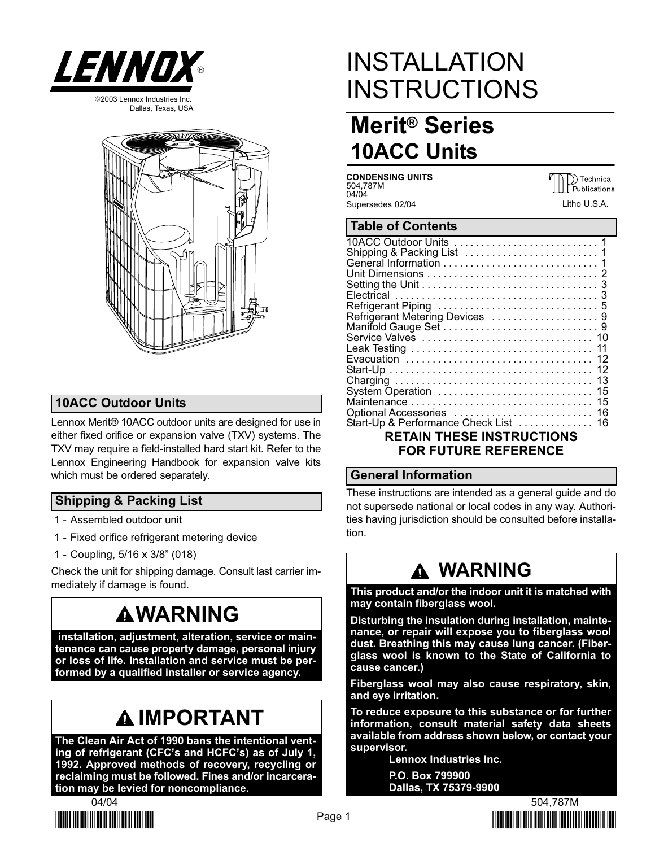





### 10ACC Outdoor Units

Lennox Merit® 10ACC outdoor units are designed for use in either fixed orifice or expansion valve (TXV) systems. The TXV may require a field−installed hard start kit. Refer to the Lennox Engineering Handbook for expansion valve kits which must be ordered separately.

### Shipping & Packing List

- 1 − Assembled outdoor unit
- 1 − Fixed orifice refrigerant metering device
- 1 − Coupling, 5/16 x 3/8" (018)

Check the unit for shipping damage. Consult last carrier immediately if damage is found.

## **AWARNING**

 installation, adjustment, alteration, service or maintenance can cause property damage, personal injury or loss of life. Installation and service must be performed by a qualified installer or service agency.

# IMPORTANT

The Clean Air Act of 1990 bans the intentional venting of refrigerant (CFC's and HCFC's) as of July 1, 1992. Approved methods of recovery, recycling or reclaiming must be followed. Fines and/or incarceration may be levied for noncompliance.



# INSTALLATION INSTRUCTIONS

## Merit® Series 10ACC Units

CONDENSING UNITS 504,787M 04/04 Supersedes 02/04

DE Technical<br>Publications Litho U.S.A.

### Table of Contents

| Refrigerant Metering Devices 9                                                               |
|----------------------------------------------------------------------------------------------|
|                                                                                              |
|                                                                                              |
|                                                                                              |
|                                                                                              |
|                                                                                              |
|                                                                                              |
| Optional Accessories ............................16<br>Start-Up & Performance Check List  16 |
|                                                                                              |

### RETAIN THESE INSTRUCTIONS FOR FUTURE REFERENCE

### General Information

These instructions are intended as a general guide and do not supersede national or local codes in any way. Authorities having jurisdiction should be consulted before installation.

## WARNING

This product and/or the indoor unit it is matched with may contain fiberglass wool.

Disturbing the insulation during installation, maintenance, or repair will expose you to fiberglass wool dust. Breathing this may cause lung cancer. (Fiberglass wool is known to the State of California to cause cancer.)

Fiberglass wool may also cause respiratory, skin, and eye irritation.

To reduce exposure to this substance or for further information, consult material safety data sheets available from address shown below, or contact your supervisor.

> Lennox Industries Inc. P.O. Box 799900 Dallas, TX 75379−9900

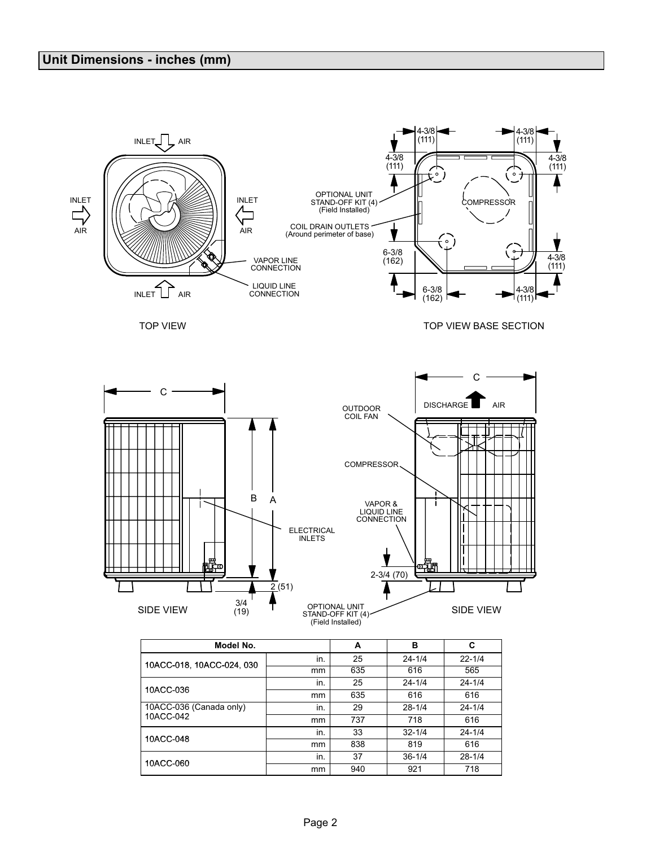

|                         | ,,,,,, | ບວວ | <b>UIU</b> | ວບວ        |
|-------------------------|--------|-----|------------|------------|
| 10ACC-036               | in.    | 25  | $24 - 1/4$ | $24 - 1/4$ |
|                         | mm     | 635 | 616        | 616        |
| 10ACC-036 (Canada only) | in.    | 29  | $28 - 1/4$ | $24 - 1/4$ |
| 10ACC-042               | mm     | 737 | 718        | 616        |
| 10ACC-048               | in.    | 33  | $32 - 1/4$ | $24 - 1/4$ |
|                         | mm     | 838 | 819        | 616        |
| 10ACC-060               | in.    | 37  | $36 - 1/4$ | $28 - 1/4$ |
|                         | mm     | 940 | 921        | 718        |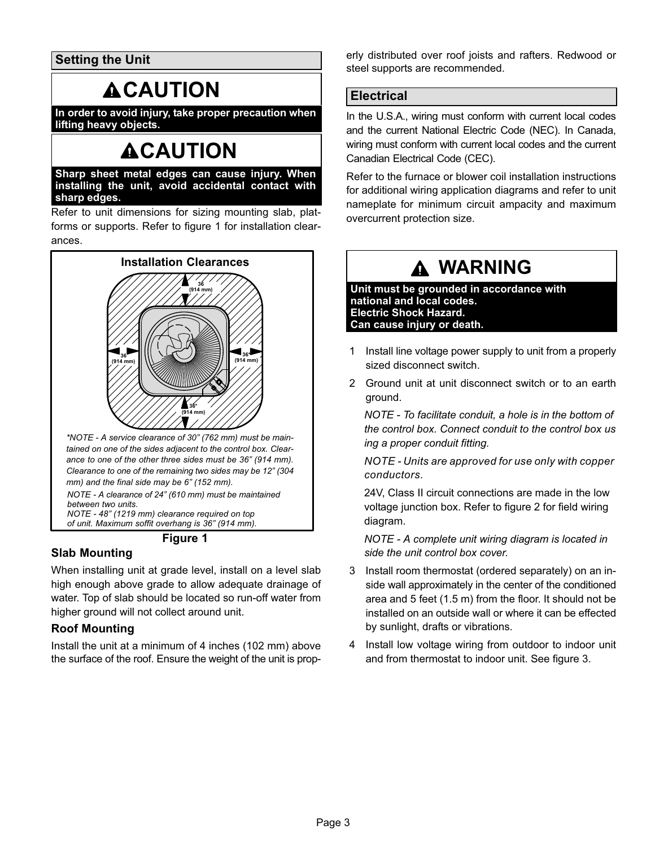Setting the Unit

## **ACAUTION**

In order to avoid injury, take proper precaution when lifting heavy objects.

## **ACAUTION**

Sharp sheet metal edges can cause injury. When installing the unit, avoid accidental contact with sharp edges.

Refer to unit dimensions for sizing mounting slab, platforms or supports. Refer to figure 1 for installation clearances.



of unit. Maximum soffit overhang is 36" (914 mm).

Figure 1

### Slab Mounting

When installing unit at grade level, install on a level slab high enough above grade to allow adequate drainage of water. Top of slab should be located so run−off water from higher ground will not collect around unit.

### Roof Mounting

Install the unit at a minimum of 4 inches (102 mm) above the surface of the roof. Ensure the weight of the unit is properly distributed over roof joists and rafters. Redwood or steel supports are recommended.

### **Electrical**

In the U.S.A., wiring must conform with current local codes and the current National Electric Code (NEC). In Canada, wiring must conform with current local codes and the current Canadian Electrical Code (CEC).

Refer to the furnace or blower coil installation instructions for additional wiring application diagrams and refer to unit nameplate for minimum circuit ampacity and maximum overcurrent protection size.

## WARNING

Unit must be grounded in accordance with national and local codes. Electric Shock Hazard. Can cause injury or death.

- 1 Install line voltage power supply to unit from a properly sized disconnect switch.
- 2 Ground unit at unit disconnect switch or to an earth ground.

NOTE − To facilitate conduit, a hole is in the bottom of the control box. Connect conduit to the control box us ing a proper conduit fitting.

NOTE − Units are approved for use only with copper conductors.

24V, Class II circuit connections are made in the low voltage junction box. Refer to figure [2](#page-3-0) for field wiring diagram.

NOTE − A complete unit wiring diagram is located in side the unit control box cover.

- 3 Install room thermostat (ordered separately) on an inside wall approximately in the center of the conditioned area and 5 feet (1.5 m) from the floor. It should not be installed on an outside wall or where it can be effected by sunlight, drafts or vibrations.
- 4 Install low voltage wiring from outdoor to indoor unit and from thermostat to indoor unit. See figure [3.](#page-3-0)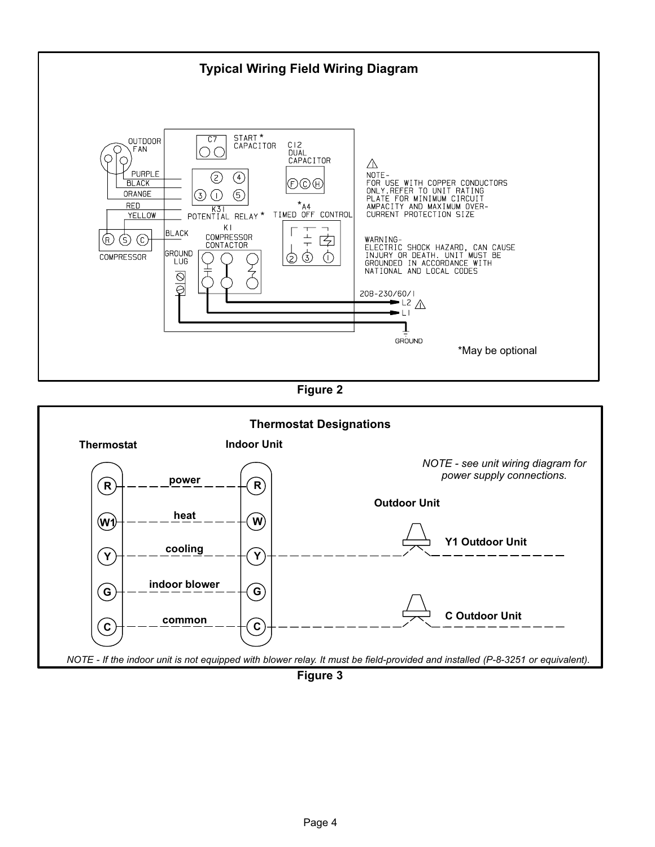<span id="page-3-0"></span>

Figure 2



Figure 3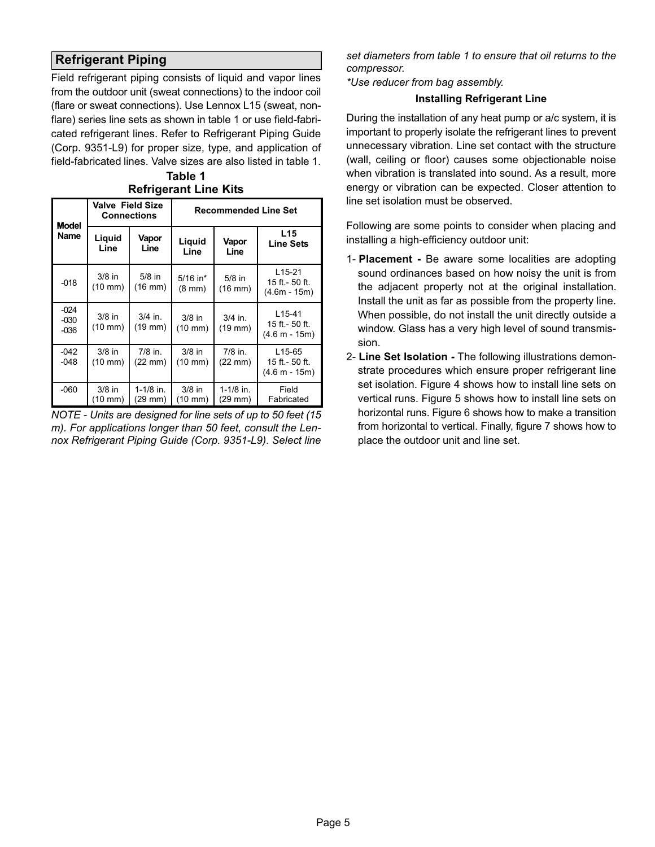### <span id="page-4-0"></span>Refrigerant Piping

Field refrigerant piping consists of liquid and vapor lines from the outdoor unit (sweat connections) to the indoor coil (flare or sweat connections). Use Lennox L15 (sweat, nonflare) series line sets as shown in table 1 or use field-fabricated refrigerant lines. Refer to Refrigerant Piping Guide (Corp. 9351−L9) for proper size, type, and application of field−fabricated lines. Valve sizes are also listed in table 1.

| <b>Model</b>               | <b>Valve Field Size</b><br><b>Connections</b> |                           | <b>Recommended Line Set</b>     |                                |                                                           |  |  |
|----------------------------|-----------------------------------------------|---------------------------|---------------------------------|--------------------------------|-----------------------------------------------------------|--|--|
| Name                       | Liquid<br>Line                                | Vapor<br>Line             | Liguid<br>Line                  | Vapor<br>Line                  | L15<br><b>Line Sets</b>                                   |  |  |
| $-018$                     | $3/8$ in<br>$(10 \, \text{mm})$               | $5/8$ in<br>$(16$ mm $)$  | $5/16$ in*<br>$(8 \text{ mm})$  | $5/8$ in<br>(16 mm)            | $L15-21$<br>15 ft. - 50 ft.<br>$(4.6m - 15m)$             |  |  |
| $-024$<br>$-030$<br>$-036$ | $3/8$ in<br>$(10 \text{ mm})$                 | $3/4$ in.<br>$(19$ mm $)$ | $3/8$ in<br>$(10 \text{ mm})$   | $3/4$ in.<br>(19 mm)           | L <sub>15</sub> -41<br>15 ft. - 50 ft.<br>$(4.6 m - 15m)$ |  |  |
| $-042$<br>$-048$           | $3/8$ in<br>$(10 \text{ mm})$                 | $7/8$ in.<br>(22 mm)      | $3/8$ in<br>$(10 \; \text{mm})$ | $7/8$ in.<br>$(22 \text{ mm})$ | L15-65<br>15 ft.- 50 ft.<br>$(4.6 m - 15m)$               |  |  |
| $-060$                     | $3/8$ in<br>$(10 \text{ mm})$                 | $1-1/8$ in.<br>(29 mm)    | $3/8$ in<br>(10 mm)             | $1 - 1/8$ in.<br>(29 mm)       | Field<br>Fabricated                                       |  |  |

Table 1 Refrigerant Line Kits

NOTE − Units are designed for line sets of up to 50 feet (15 m). For applications longer than 50 feet, consult the Lennox Refrigerant Piping Guide (Corp. 9351−L9). Select line

set diameters from table 1 to ensure that oil returns to the compressor.

\*Use reducer from bag assembly.

#### Installing Refrigerant Line

During the installation of any heat pump or a/c system, it is important to properly isolate the refrigerant lines to prevent unnecessary vibration. Line set contact with the structure (wall, ceiling or floor) causes some objectionable noise when vibration is translated into sound. As a result, more energy or vibration can be expected. Closer attention to line set isolation must be observed.

Following are some points to consider when placing and installing a high−efficiency outdoor unit:

- 1- Placement − Be aware some localities are adopting sound ordinances based on how noisy the unit is from the adjacent property not at the original installation. Install the unit as far as possible from the property line. When possible, do not install the unit directly outside a window. Glass has a very high level of sound transmission.
- 2- Line Set Isolation The following illustrations demonstrate procedures which ensure proper refrigerant line set isolation. Figure [4](#page-5-0) shows how to install line sets on vertical runs. Figure [5](#page-6-0) shows how to install line sets on horizontal runs. Figure [6](#page-7-0) shows how to make a transition from horizontal to vertical. Finally, figure [7](#page-7-0) shows how to place the outdoor unit and line set.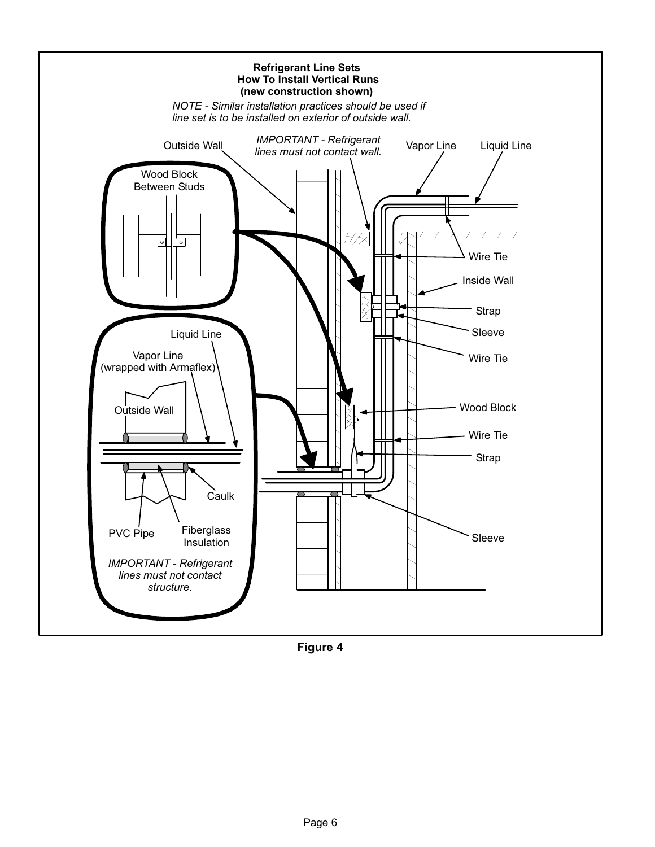<span id="page-5-0"></span>

Figure 4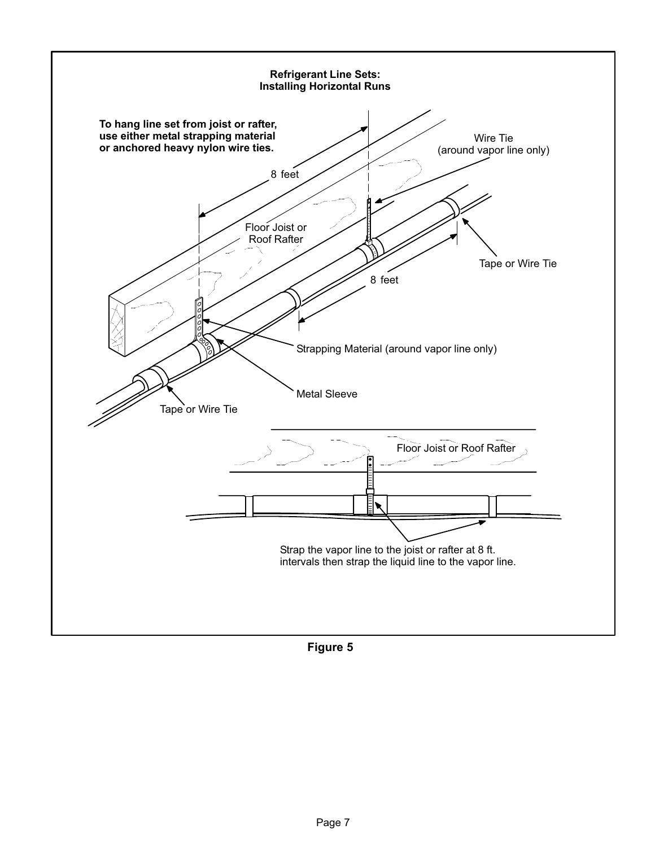<span id="page-6-0"></span>

Figure 5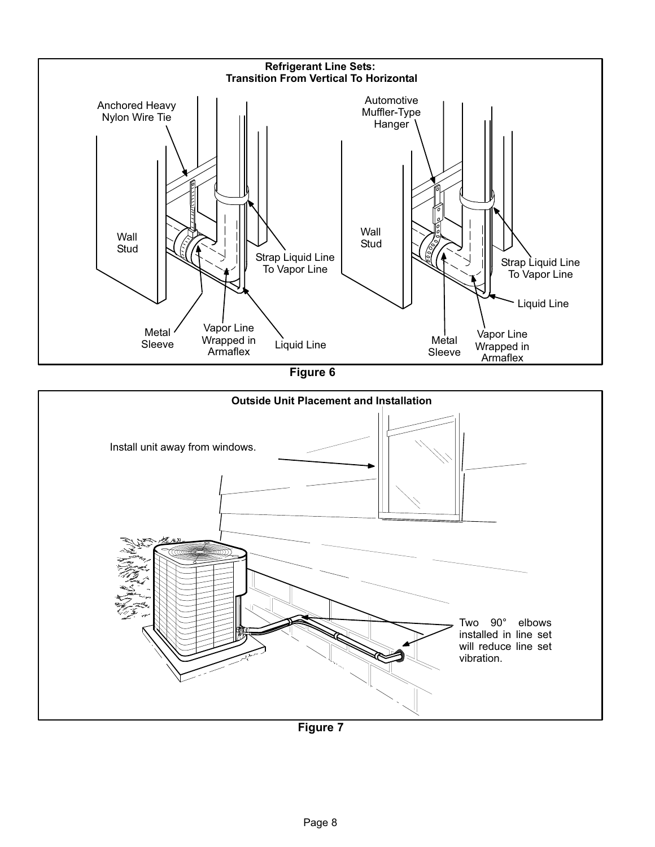<span id="page-7-0"></span>

Figure 6

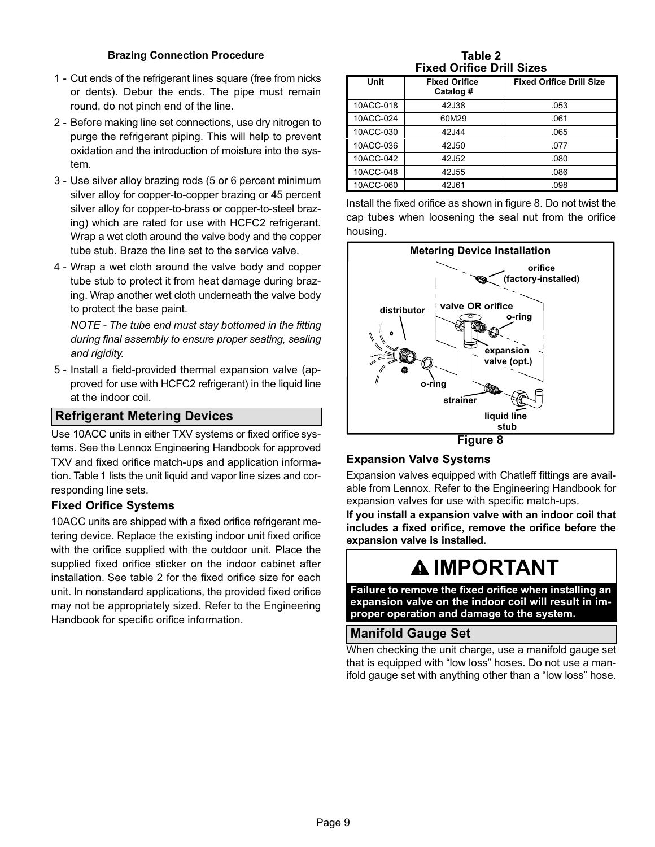#### Brazing Connection Procedure

- 1 − Cut ends of the refrigerant lines square (free from nicks or dents). Debur the ends. The pipe must remain round, do not pinch end of the line.
- 2 − Before making line set connections, use dry nitrogen to purge the refrigerant piping. This will help to prevent oxidation and the introduction of moisture into the system.
- 3 − Use silver alloy brazing rods (5 or 6 percent minimum silver alloy for copper−to−copper brazing or 45 percent silver alloy for copper−to−brass or copper−to−steel brazing) which are rated for use with HCFC2 refrigerant. Wrap a wet cloth around the valve body and the copper tube stub. Braze the line set to the service valve.
- 4 − Wrap a wet cloth around the valve body and copper tube stub to protect it from heat damage during brazing. Wrap another wet cloth underneath the valve body to protect the base paint.

NOTE − The tube end must stay bottomed in the fitting during final assembly to ensure proper seating, sealing and rigidity.

 5 − Install a field−provided thermal expansion valve (approved for use with HCFC2 refrigerant) in the liquid line at the indoor coil.

#### Refrigerant Metering Devices

Use 10ACC units in either TXV systems or fixed orifice systems. See the Lennox Engineering Handbook for approved TXV and fixed orifice match-ups and application information. Table [1](#page-4-0) lists the unit liquid and vapor line sizes and corresponding line sets.

#### Fixed Orifice Systems

10ACC units are shipped with a fixed orifice refrigerant metering device. Replace the existing indoor unit fixed orifice with the orifice supplied with the outdoor unit. Place the supplied fixed orifice sticker on the indoor cabinet after installation. See table 2 for the fixed orifice size for each unit. In nonstandard applications, the provided fixed orifice may not be appropriately sized. Refer to the Engineering Handbook for specific orifice information.

Table 2 Fixed Orifice Drill Sizes

| Unit      | <b>Fixed Orifice</b><br>Catalog # | <b>Fixed Orifice Drill Size</b> |
|-----------|-----------------------------------|---------------------------------|
| 10ACC-018 | 42J38                             | .053                            |
| 10ACC-024 | 60M29                             | .061                            |
| 10ACC-030 | 42J44                             | .065                            |
| 10ACC-036 | 42J50                             | .077                            |
| 10ACC-042 | 42J52                             | .080                            |
| 10ACC-048 | 42J55                             | .086                            |
| 10ACC-060 | 42J61                             | .098                            |

Install the fixed orifice as shown in figure 8. Do not twist the cap tubes when loosening the seal nut from the orifice housing.



#### Expansion Valve Systems

Expansion valves equipped with Chatleff fittings are available from Lennox. Refer to the Engineering Handbook for expansion valves for use with specific match−ups.

If you install a expansion valve with an indoor coil that includes a fixed orifice, remove the orifice before the expansion valve is installed.

## IMPORTANT

Failure to remove the fixed orifice when installing an expansion valve on the indoor coil will result in improper operation and damage to the system.

#### Manifold Gauge Set

When checking the unit charge, use a manifold gauge set that is equipped with "low loss" hoses. Do not use a manifold gauge set with anything other than a "low loss" hose.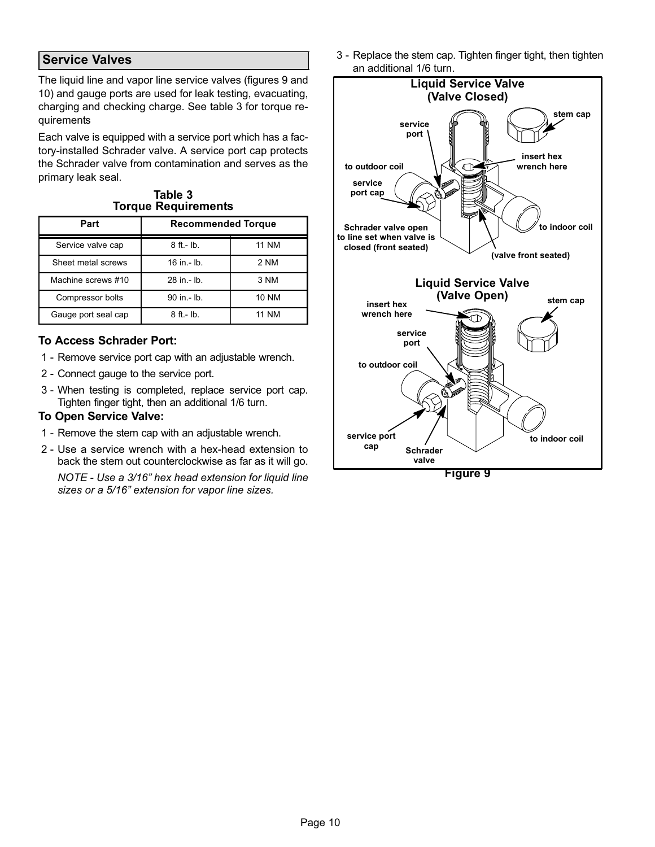### Service Valves

The liquid line and vapor line service valves (figures 9 and [10\)](#page-10-0) and gauge ports are used for leak testing, evacuating, charging and checking charge. See table 3 for torque requirements

Each valve is equipped with a service port which has a factory−installed Schrader valve. A service port cap protects the Schrader valve from contamination and serves as the primary leak seal.

Table 3 Torque Requirements

| Part                | <b>Recommended Torque</b> |              |
|---------------------|---------------------------|--------------|
| Service valve cap   | $8$ ft. - $lb$ .          | <b>11 NM</b> |
| Sheet metal screws  | $16$ in $-$ lb.           | 2 NM         |
| Machine screws #10  | 28 in .- lb.              | 3 NM         |
| Compressor bolts    | 90 in .- lb.              | <b>10 NM</b> |
| Gauge port seal cap | $8$ ft.- $lb$ .           | <b>NM</b>    |

#### To Access Schrader Port:

- 1 − Remove service port cap with an adjustable wrench.
- 2 − Connect gauge to the service port.
- 3 − When testing is completed, replace service port cap. Tighten finger tight, then an additional 1/6 turn.

#### To Open Service Valve:

- 1 Remove the stem cap with an adjustable wrench.
- 2 Use a service wrench with a hex-head extension to back the stem out counterclockwise as far as it will go. NOTE − Use a 3/16" hex head extension for liquid line sizes or a 5/16" extension for vapor line sizes.

 3 − Replace the stem cap. Tighten finger tight, then tighten an additional 1/6 turn.

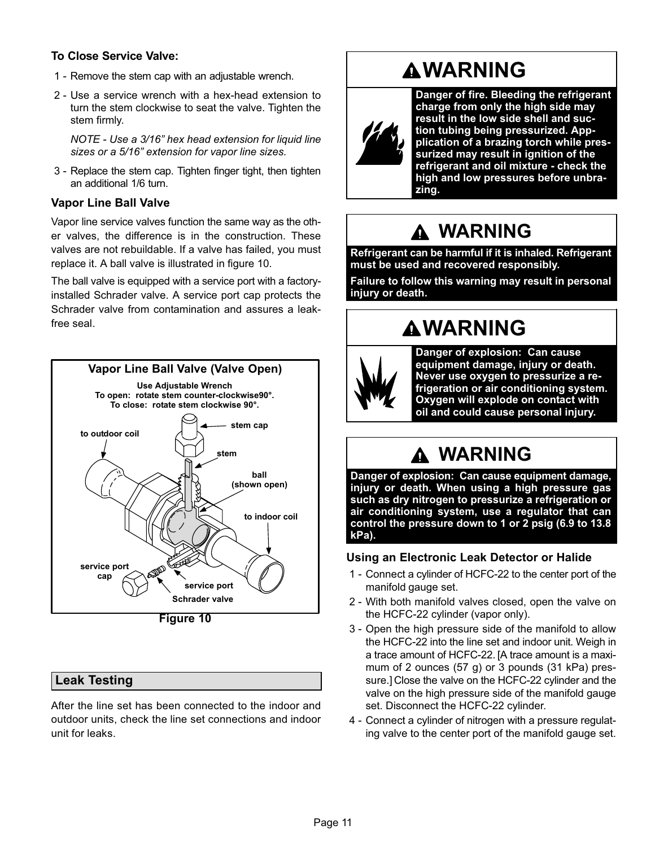### <span id="page-10-0"></span>To Close Service Valve:

- 1 − Remove the stem cap with an adjustable wrench.
- 2 − Use a service wrench with a hex−head extension to turn the stem clockwise to seat the valve. Tighten the stem firmly.

NOTE − Use a 3/16" hex head extension for liquid line sizes or a 5/16" extension for vapor line sizes.

 3 − Replace the stem cap. Tighten finger tight, then tighten an additional 1/6 turn.

#### Vapor Line Ball Valve

Vapor line service valves function the same way as the other valves, the difference is in the construction. These valves are not rebuildable. If a valve has failed, you must replace it. A ball valve is illustrated in figure 10.

The ball valve is equipped with a service port with a factory− installed Schrader valve. A service port cap protects the Schrader valve from contamination and assures a leak− free seal.



Figure 10

### Leak Testing

After the line set has been connected to the indoor and outdoor units, check the line set connections and indoor unit for leaks.

## **AWARNING**



Danger of fire. Bleeding the refrigerant charge from only the high side may result in the low side shell and suction tubing being pressurized. Appplication of a brazing torch while pressurized may result in ignition of the refrigerant and oil mixture − check the high and low pressures before unbrazing.

## WARNING

Refrigerant can be harmful if it is inhaled. Refrigerant must be used and recovered responsibly.

Failure to follow this warning may result in personal injury or death.

## **AWARNING**



Danger of explosion: Can cause equipment damage, injury or death. Never use oxygen to pressurize a refrigeration or air conditioning system. Oxygen will explode on contact with oil and could cause personal injury.

## WARNING

Danger of explosion: Can cause equipment damage, injury or death. When using a high pressure gas such as dry nitrogen to pressurize a refrigeration or air conditioning system, use a regulator that can control the pressure down to 1 or 2 psig (6.9 to 13.8 kPa).

#### Using an Electronic Leak Detector or Halide

- 1 − Connect a cylinder of HCFC-22 to the center port of the manifold gauge set.
- 2 With both manifold valves closed, open the valve on the HCFC-22 cylinder (vapor only).
- 3 − Open the high pressure side of the manifold to allow the HCFC-22 into the line set and indoor unit. Weigh in a trace amount of HCFC-22. [A trace amount is a maximum of 2 ounces (57 g) or 3 pounds (31 kPa) pressure.] Close the valve on the HCFC-22 cylinder and the valve on the high pressure side of the manifold gauge set. Disconnect the HCFC-22 cylinder.
- 4 − Connect a cylinder of nitrogen with a pressure regulating valve to the center port of the manifold gauge set.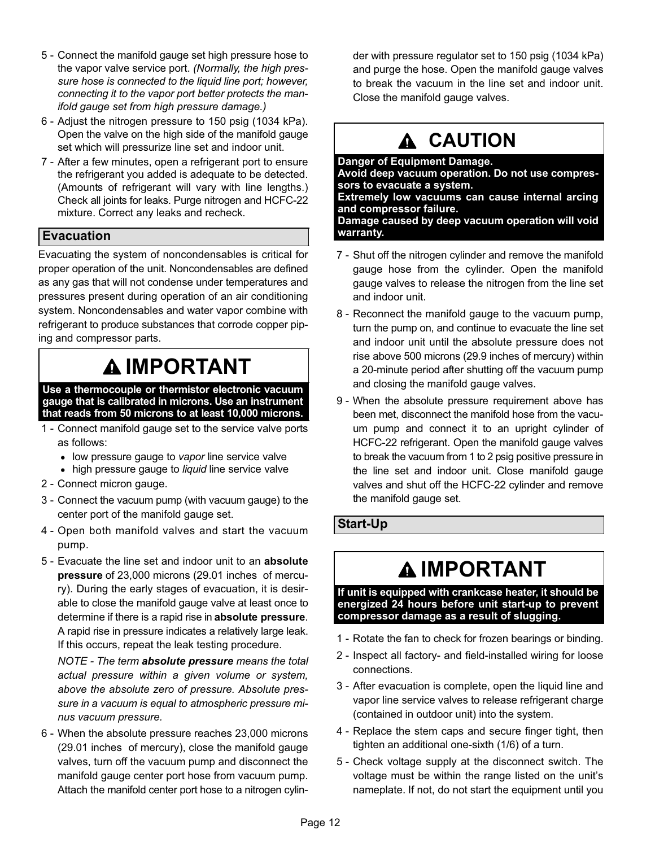- 5 − Connect the manifold gauge set high pressure hose to the vapor valve service port. (Normally, the high pressure hose is connected to the liquid line port; however, connecting it to the vapor port better protects the manifold gauge set from high pressure damage.)
- 6 − Adjust the nitrogen pressure to 150 psig (1034 kPa). Open the valve on the high side of the manifold gauge set which will pressurize line set and indoor unit.
- 7 − After a few minutes, open a refrigerant port to ensure the refrigerant you added is adequate to be detected. (Amounts of refrigerant will vary with line lengths.) Check all joints for leaks. Purge nitrogen and HCFC-22 mixture. Correct any leaks and recheck.

### Evacuation

Evacuating the system of noncondensables is critical for proper operation of the unit. Noncondensables are defined as any gas that will not condense under temperatures and pressures present during operation of an air conditioning system. Noncondensables and water vapor combine with refrigerant to produce substances that corrode copper piping and compressor parts.

## IMPORTANT

Use a thermocouple or thermistor electronic vacuum gauge that is calibrated in microns. Use an instrument that reads from 50 microns to at least 10,000 microns.

- 1 − Connect manifold gauge set to the service valve ports as follows:
	- low pressure gauge to vapor line service valve
	- high pressure gauge to liquid line service valve
- 2 − Connect micron gauge.
- 3 − Connect the vacuum pump (with vacuum gauge) to the center port of the manifold gauge set.
- 4 − Open both manifold valves and start the vacuum pump.
- 5 Evacuate the line set and indoor unit to an absolute pressure of 23,000 microns (29.01 inches of mercury). During the early stages of evacuation, it is desirable to close the manifold gauge valve at least once to determine if there is a rapid rise in absolute pressure. A rapid rise in pressure indicates a relatively large leak. If this occurs, repeat the leak testing procedure.

NOTE - The term absolute pressure means the total actual pressure within a given volume or system, above the absolute zero of pressure. Absolute pressure in a vacuum is equal to atmospheric pressure minus vacuum pressure.

 6 − When the absolute pressure reaches 23,000 microns (29.01 inches of mercury), close the manifold gauge valves, turn off the vacuum pump and disconnect the manifold gauge center port hose from vacuum pump. Attach the manifold center port hose to a nitrogen cylinder with pressure regulator set to 150 psig (1034 kPa) and purge the hose. Open the manifold gauge valves to break the vacuum in the line set and indoor unit. Close the manifold gauge valves.

## A CAUTION

Danger of Equipment Damage. Avoid deep vacuum operation. Do not use compressors to evacuate a system. Extremely low vacuums can cause internal arcing and compressor failure. Damage caused by deep vacuum operation will void warranty.

- 7 Shut off the nitrogen cylinder and remove the manifold gauge hose from the cylinder. Open the manifold gauge valves to release the nitrogen from the line set and indoor unit.
- 8 Reconnect the manifold gauge to the vacuum pump, turn the pump on, and continue to evacuate the line set and indoor unit until the absolute pressure does not rise above 500 microns (29.9 inches of mercury) within a 20−minute period after shutting off the vacuum pump and closing the manifold gauge valves.
- 9 When the absolute pressure requirement above has been met, disconnect the manifold hose from the vacuum pump and connect it to an upright cylinder of HCFC-22 refrigerant. Open the manifold gauge valves to break the vacuum from 1 to 2 psig positive pressure in the line set and indoor unit. Close manifold gauge valves and shut off the HCFC-22 cylinder and remove the manifold gauge set.

### Start−Up

## IMPORTANT

If unit is equipped with crankcase heater, it should be energized 24 hours before unit start−up to prevent compressor damage as a result of slugging.

- 1 − Rotate the fan to check for frozen bearings or binding.
- 2 − Inspect all factory− and field-installed wiring for loose connections.
- 3 − After evacuation is complete, open the liquid line and vapor line service valves to release refrigerant charge (contained in outdoor unit) into the system.
- 4 − Replace the stem caps and secure finger tight, then tighten an additional one-sixth (1/6) of a turn.
- 5 − Check voltage supply at the disconnect switch. The voltage must be within the range listed on the unit's nameplate. If not, do not start the equipment until you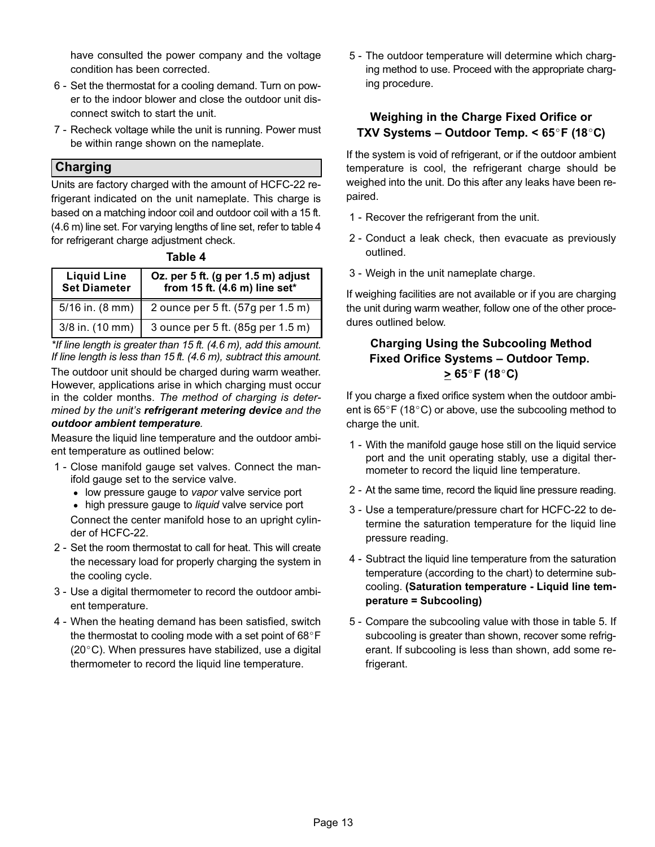have consulted the power company and the voltage condition has been corrected.

- 6 − Set the thermostat for a cooling demand. Turn on power to the indoor blower and close the outdoor unit disconnect switch to start the unit.
- 7 Recheck voltage while the unit is running. Power must be within range shown on the nameplate.

#### Charging

Units are factory charged with the amount of HCFC-22 refrigerant indicated on the unit nameplate. This charge is based on a matching indoor coil and outdoor coil with a 15 ft. (4.6 m) line set. For varying lengths of line set, refer to table 4 for refrigerant charge adjustment check.

|  | .bı | ı |  |
|--|-----|---|--|
|--|-----|---|--|

| <b>Liquid Line</b><br><b>Set Diameter</b> | Oz. per 5 ft. (g per 1.5 m) adjust<br>from 15 ft. (4.6 m) line set* |
|-------------------------------------------|---------------------------------------------------------------------|
| $5/16$ in. $(8 \text{ mm})$               | 2 ounce per 5 ft. (57g per 1.5 m)                                   |
| $3/8$ in. $(10$ mm)                       | 3 ounce per 5 ft. (85g per 1.5 m)                                   |

\*If line length is greater than 15 ft. (4.6 m), add this amount. If line length is less than 15 ft. (4.6 m), subtract this amount.

The outdoor unit should be charged during warm weather. However, applications arise in which charging must occur in the colder months. The method of charging is determined by the unit's refrigerant metering device and the outdoor ambient temperature.

Measure the liquid line temperature and the outdoor ambient temperature as outlined below:

- 1 − Close manifold gauge set valves. Connect the manifold gauge set to the service valve.
	- low pressure gauge to vapor valve service port
	- high pressure gauge to liquid valve service port

Connect the center manifold hose to an upright cylinder of HCFC−22.

- 2 − Set the room thermostat to call for heat. This will create the necessary load for properly charging the system in the cooling cycle.
- 3 − Use a digital thermometer to record the outdoor ambient temperature.
- 4 − When the heating demand has been satisfied, switch the thermostat to cooling mode with a set point of  $68^{\circ}$ F  $(20^{\circ}C)$ . When pressures have stabilized, use a digital thermometer to record the liquid line temperature.

 5 − The outdoor temperature will determine which charging method to use. Proceed with the appropriate charging procedure.

#### Weighing in the Charge Fixed Orifice or TXV Systems – Outdoor Temp.  $<$  65 $\degree$ F (18 $\degree$ C)

If the system is void of refrigerant, or if the outdoor ambient temperature is cool, the refrigerant charge should be weighed into the unit. Do this after any leaks have been repaired.

- 1 Recover the refrigerant from the unit.
- 2 − Conduct a leak check, then evacuate as previously outlined.
- 3 − Weigh in the unit nameplate charge.

If weighing facilities are not available or if you are charging the unit during warm weather, follow one of the other procedures outlined below.

## Charging Using the Subcooling Method Fixed Orifice Systems – Outdoor Temp.<br>  $\geq 65^{\circ}$ F (18°C)

If you charge a fixed orifice system when the outdoor ambient is  $65^{\circ}$ F (18 $^{\circ}$ C) or above, use the subcooling method to charge the unit.

- 1 − With the manifold gauge hose still on the liquid service port and the unit operating stably, use a digital thermometer to record the liquid line temperature.
- 2 − At the same time, record the liquid line pressure reading.
- 3 − Use a temperature/pressure chart for HCFC-22 to determine the saturation temperature for the liquid line pressure reading.
- 4 − Subtract the liquid line temperature from the saturation temperature (according to the chart) to determine subcooling. (Saturation temperature − Liquid line temperature = Subcooling)
- [5](#page-13-0) Compare the subcooling value with those in table 5. If subcooling is greater than shown, recover some refrigerant. If subcooling is less than shown, add some refrigerant.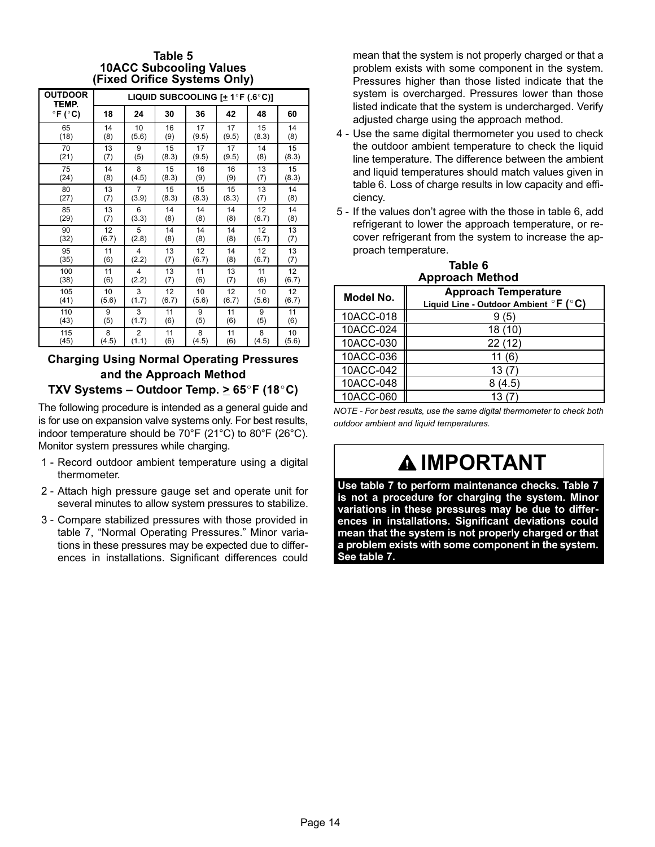#### Table 5 10ACC Subcooling Values (Fixed Orifice Systems Only)

<span id="page-13-0"></span>

| <b>OUTDOOR</b><br>TEMP.    |       | LIQUID SUBCOOLING $[+ 1^\circ F (.6^\circ C)]$ |       |       |       |       |       |  |  |  |  |
|----------------------------|-------|------------------------------------------------|-------|-------|-------|-------|-------|--|--|--|--|
| $\degree$ F ( $\degree$ C) | 18    | 24                                             | 30    | 36    | 42    | 48    | 60    |  |  |  |  |
| 65                         | 14    | 10                                             | 16    | 17    | 17    | 15    | 14    |  |  |  |  |
| (18)                       | (8)   | (5.6)                                          | (9)   | (9.5) | (9.5) | (8.3) | (8)   |  |  |  |  |
| 70                         | 13    | 9                                              | 15    | 17    | 17    | 14    | 15    |  |  |  |  |
| (21)                       | (7)   | (5)                                            | (8.3) | (9.5) | (9.5) | (8)   | (8.3) |  |  |  |  |
| 75                         | 14    | 8                                              | 15    | 16    | 16    | 13    | 15    |  |  |  |  |
| (24)                       | (8)   | (4.5)                                          | (8.3) | (9)   | (9)   | (7)   | (8.3) |  |  |  |  |
| 80                         | 13    | $\overline{7}$                                 | 15    | 15    | 15    | 13    | 14    |  |  |  |  |
| (27)                       | (7)   | (3.9)                                          | (8.3) | (8.3) | (8.3) | (7)   | (8)   |  |  |  |  |
| 85                         | 13    | 6                                              | 14    | 14    | 14    | 12    | 14    |  |  |  |  |
| (29)                       | (7)   | (3.3)                                          | (8)   | (8)   | (8)   | (6.7) | (8)   |  |  |  |  |
| 90                         | 12    | 5                                              | 14    | 14    | 14    | 12    | 13    |  |  |  |  |
| (32)                       | (6.7) | (2.8)                                          | (8)   | (8)   | (8)   | (6.7) | (7)   |  |  |  |  |
| 95                         | 11    | 4                                              | 13    | 12    | 14    | 12    | 13    |  |  |  |  |
| (35)                       | (6)   | (2.2)                                          | (7)   | (6.7) | (8)   | (6.7) | (7)   |  |  |  |  |
| 100                        | 11    | 4                                              | 13    | 11    | 13    | 11    | 12    |  |  |  |  |
| (38)                       | (6)   | (2.2)                                          | (7)   | (6)   | (7)   | (6)   | (6.7) |  |  |  |  |
| 105                        | 10    | 3                                              | 12    | 10    | 12    | 10    | 12    |  |  |  |  |
| (41)                       | (5.6) | (1.7)                                          | (6.7) | (5.6) | (6.7) | (5.6) | (6.7) |  |  |  |  |
| 110                        | 9     | 3                                              | 11    | 9     | 11    | 9     | 11    |  |  |  |  |
| (43)                       | (5)   | (1.7)                                          | (6)   | (5)   | (6)   | (5)   | (6)   |  |  |  |  |
| 115                        | 8     | 2                                              | 11    | 8     | 11    | 8     | 10    |  |  |  |  |
| (45)                       | (4.5) | (1.1)                                          | (6)   | (4.5) | (6)   | (4.5) | (5.6) |  |  |  |  |

## Charging Using Normal Operating Pressures and the Approach Method

TXV Systems – Outdoor Temp. >  $65^{\circ}$ F (18 $^{\circ}$ C)

The following procedure is intended as a general guide and is for use on expansion valve systems only. For best results, indoor temperature should be 70°F (21°C) to 80°F (26°C). Monitor system pressures while charging.

- 1 − Record outdoor ambient temperature using a digital thermometer.
- 2 − Attach high pressure gauge set and operate unit for several minutes to allow system pressures to stabilize.
- 3 − Compare stabilized pressures with those provided in table [7,](#page-14-0) "Normal Operating Pressures." Minor variations in these pressures may be expected due to differences in installations. Significant differences could

mean that the system is not properly charged or that a problem exists with some component in the system. Pressures higher than those listed indicate that the system is overcharged. Pressures lower than those listed indicate that the system is undercharged. Verify adjusted charge using the approach method.

- 4 − Use the same digital thermometer you used to check the outdoor ambient temperature to check the liquid line temperature. The difference between the ambient and liquid temperatures should match values given in table 6. Loss of charge results in low capacity and efficiency.
- 5 − If the values don't agree with the those in table 6, add refrigerant to lower the approach temperature, or recover refrigerant from the system to increase the approach temperature.

| Approach Method | Table 6 |  |
|-----------------|---------|--|
|                 |         |  |

| Model No. | <b>Approach Temperature</b><br>Liquid Line - Outdoor Ambient $\circ$ F ( $\circ$ C) |
|-----------|-------------------------------------------------------------------------------------|
| 10ACC-018 | (5)                                                                                 |
| 10ACC-024 | 18 (10)                                                                             |
| 10ACC-030 | 22(12)                                                                              |
| 10ACC-036 | 11 (6)                                                                              |
| 10ACC-042 | 13 (7                                                                               |
| 10ACC-048 | 8 (4.5)                                                                             |
| 10ACC-060 | 13 (7                                                                               |

NOTE − For best results, use the same digital thermometer to check both outdoor ambient and liquid temperatures.

# **AIMPORTANT**

Use table [7](#page-14-0) to perform maintenance checks. Table [7](#page-14-0) is not a procedure for charging the system. Minor variations in these pressures may be due to differences in installations. Significant deviations could mean that the system is not properly charged or that a problem exists with some component in the system. See table [7.](#page-14-0)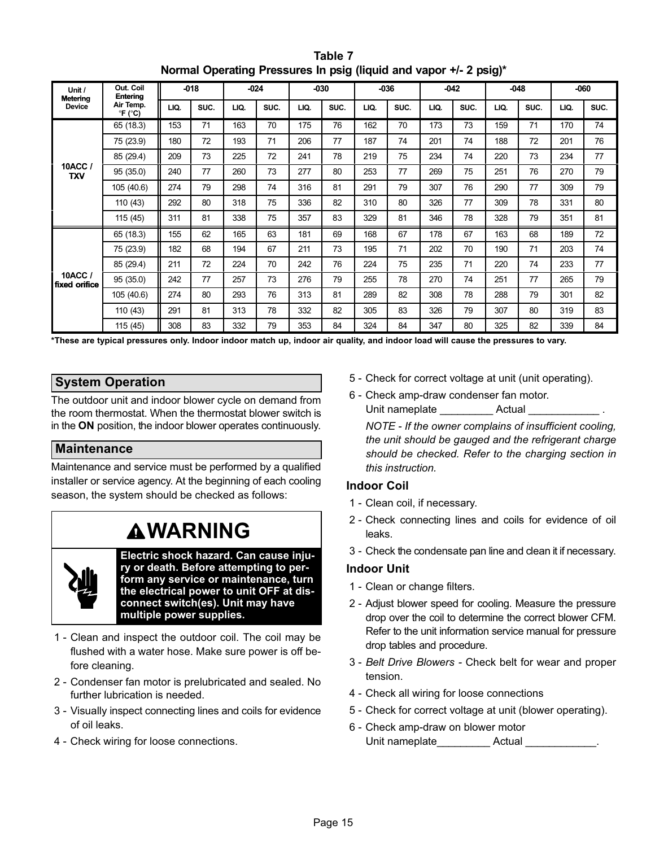<span id="page-14-0"></span>

| Unit /<br><b>Metering</b> | Out. Coil<br>Entering                       |      | $-018$ |      | $-024$ |      | $-030$ |      | $-036$ |      | $-042$ |      | $-048$ |      | -060 |
|---------------------------|---------------------------------------------|------|--------|------|--------|------|--------|------|--------|------|--------|------|--------|------|------|
| <b>Device</b>             | Air Temp.<br>$\mathrm{P}F$ ( $\mathrm{C}$ ) | LIQ. | SUC.   | LIQ. | SUC.   | LIQ. | SUC.   | LIQ. | SUC.   | LIQ. | SUC.   | LIQ. | SUC.   | LIQ. | SUC. |
|                           | 65 (18.3)                                   | 153  | 71     | 163  | 70     | 175  | 76     | 162  | 70     | 173  | 73     | 159  | 71     | 170  | 74   |
|                           | 75 (23.9)                                   | 180  | 72     | 193  | 71     | 206  | 77     | 187  | 74     | 201  | 74     | 188  | 72     | 201  | 76   |
|                           | 85 (29.4)                                   | 209  | 73     | 225  | 72     | 241  | 78     | 219  | 75     | 234  | 74     | 220  | 73     | 234  | 77   |
| 10ACC /<br><b>TXV</b>     | 95 (35.0)                                   | 240  | 77     | 260  | 73     | 277  | 80     | 253  | 77     | 269  | 75     | 251  | 76     | 270  | 79   |
|                           | 105 (40.6)                                  | 274  | 79     | 298  | 74     | 316  | 81     | 291  | 79     | 307  | 76     | 290  | 77     | 309  | 79   |
|                           | 110 (43)                                    | 292  | 80     | 318  | 75     | 336  | 82     | 310  | 80     | 326  | 77     | 309  | 78     | 331  | 80   |
|                           | 115 (45)                                    | 311  | 81     | 338  | 75     | 357  | 83     | 329  | 81     | 346  | 78     | 328  | 79     | 351  | 81   |
|                           | 65 (18.3)                                   | 155  | 62     | 165  | 63     | 181  | 69     | 168  | 67     | 178  | 67     | 163  | 68     | 189  | 72   |
|                           | 75 (23.9)                                   | 182  | 68     | 194  | 67     | 211  | 73     | 195  | 71     | 202  | 70     | 190  | 71     | 203  | 74   |
|                           | 85 (29.4)                                   | 211  | 72     | 224  | 70     | 242  | 76     | 224  | 75     | 235  | 71     | 220  | 74     | 233  | 77   |
| 10ACC /<br>fixed orifice  | 95 (35.0)                                   | 242  | 77     | 257  | 73     | 276  | 79     | 255  | 78     | 270  | 74     | 251  | 77     | 265  | 79   |
|                           | 105 (40.6)                                  | 274  | 80     | 293  | 76     | 313  | 81     | 289  | 82     | 308  | 78     | 288  | 79     | 301  | 82   |
|                           | 110 (43)                                    | 291  | 81     | 313  | 78     | 332  | 82     | 305  | 83     | 326  | 79     | 307  | 80     | 319  | 83   |
|                           | 115 (45)                                    | 308  | 83     | 332  | 79     | 353  | 84     | 324  | 84     | 347  | 80     | 325  | 82     | 339  | 84   |

Table 7 Normal Operating Pressures In psig (liquid and vapor +/− 2 psig)\*

\*These are typical pressures only. Indoor indoor match up, indoor air quality, and indoor load will cause the pressures to vary.

### System Operation

The outdoor unit and indoor blower cycle on demand from the room thermostat. When the thermostat blower switch is in the ON position, the indoor blower operates continuously.

### Maintenance

Maintenance and service must be performed by a qualified installer or service agency. At the beginning of each cooling season, the system should be checked as follows:

## **AWARNING**



Electric shock hazard. Can cause injury or death. Before attempting to perform any service or maintenance, turn the electrical power to unit OFF at disconnect switch(es). Unit may have multiple power supplies.

- 1 − Clean and inspect the outdoor coil. The coil may be flushed with a water hose. Make sure power is off before cleaning.
- 2 − Condenser fan motor is prelubricated and sealed. No further lubrication is needed.
- 3 − Visually inspect connecting lines and coils for evidence of oil leaks.
- 4 − Check wiring for loose connections.
- 5 − Check for correct voltage at unit (unit operating).
- 6 − Check amp−draw condenser fan motor. Unit nameplate The Actual League

NOTE − If the owner complains of insufficient cooling, the unit should be gauged and the refrigerant charge should be checked. Refer to the charging section in this instruction.

#### Indoor Coil

- 1 Clean coil, if necessary.
- 2 − Check connecting lines and coils for evidence of oil leaks.
- 3 − Check the condensate pan line and clean it if necessary.

#### Indoor Unit

- 1 Clean or change filters.
- 2 − Adjust blower speed for cooling. Measure the pressure drop over the coil to determine the correct blower CFM. Refer to the unit information service manual for pressure drop tables and procedure.
- 3 − Belt Drive Blowers − Check belt for wear and proper tension.
- 4 − Check all wiring for loose connections
- 5 − Check for correct voltage at unit (blower operating).
- 6 − Check amp−draw on blower motor Unit nameplate Actual Actual Actual Actual Actual Actual Actual Actual Actual Actual Actual Actual Actual Actual Actual Actual Actual Actual Actual Actual Actual Actual Actual Actual Actual Actual Actual Actual Actual Actu